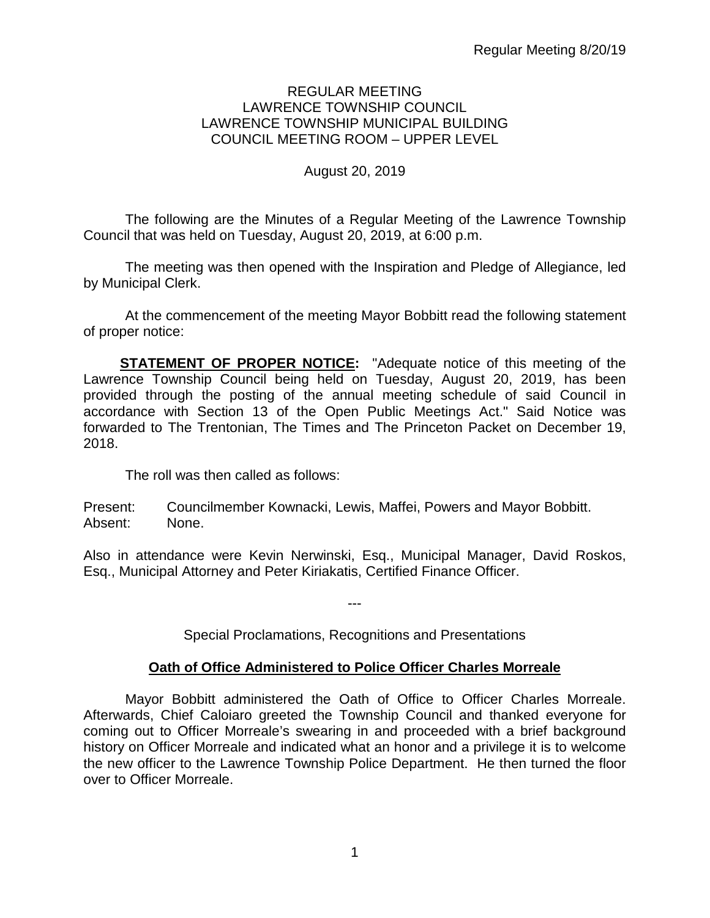## REGULAR MEETING LAWRENCE TOWNSHIP COUNCIL LAWRENCE TOWNSHIP MUNICIPAL BUILDING COUNCIL MEETING ROOM – UPPER LEVEL

# August 20, 2019

The following are the Minutes of a Regular Meeting of the Lawrence Township Council that was held on Tuesday, August 20, 2019, at 6:00 p.m.

The meeting was then opened with the Inspiration and Pledge of Allegiance, led by Municipal Clerk.

At the commencement of the meeting Mayor Bobbitt read the following statement of proper notice:

**STATEMENT OF PROPER NOTICE:** "Adequate notice of this meeting of the Lawrence Township Council being held on Tuesday, August 20, 2019, has been provided through the posting of the annual meeting schedule of said Council in accordance with Section 13 of the Open Public Meetings Act." Said Notice was forwarded to The Trentonian, The Times and The Princeton Packet on December 19, 2018.

The roll was then called as follows:

Present: Councilmember Kownacki, Lewis, Maffei, Powers and Mayor Bobbitt. Absent: None.

Also in attendance were Kevin Nerwinski, Esq., Municipal Manager, David Roskos, Esq., Municipal Attorney and Peter Kiriakatis, Certified Finance Officer.

Special Proclamations, Recognitions and Presentations

---

# **Oath of Office Administered to Police Officer Charles Morreale**

Mayor Bobbitt administered the Oath of Office to Officer Charles Morreale. Afterwards, Chief Caloiaro greeted the Township Council and thanked everyone for coming out to Officer Morreale's swearing in and proceeded with a brief background history on Officer Morreale and indicated what an honor and a privilege it is to welcome the new officer to the Lawrence Township Police Department. He then turned the floor over to Officer Morreale.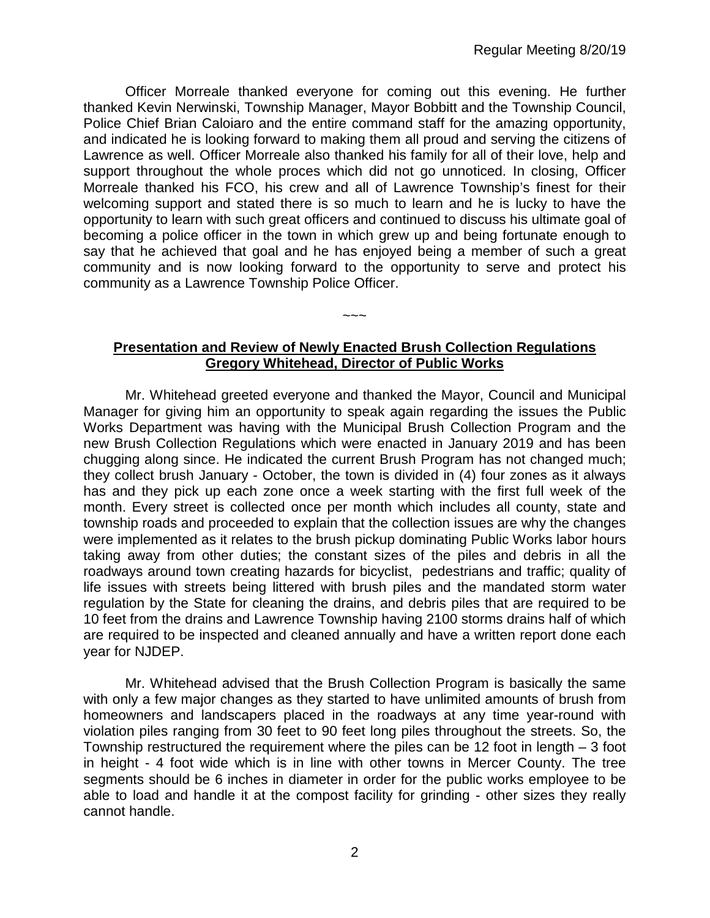Officer Morreale thanked everyone for coming out this evening. He further thanked Kevin Nerwinski, Township Manager, Mayor Bobbitt and the Township Council, Police Chief Brian Caloiaro and the entire command staff for the amazing opportunity, and indicated he is looking forward to making them all proud and serving the citizens of Lawrence as well. Officer Morreale also thanked his family for all of their love, help and support throughout the whole proces which did not go unnoticed. In closing, Officer Morreale thanked his FCO, his crew and all of Lawrence Township's finest for their welcoming support and stated there is so much to learn and he is lucky to have the opportunity to learn with such great officers and continued to discuss his ultimate goal of becoming a police officer in the town in which grew up and being fortunate enough to say that he achieved that goal and he has enjoyed being a member of such a great community and is now looking forward to the opportunity to serve and protect his community as a Lawrence Township Police Officer.

# **Presentation and Review of Newly Enacted Brush Collection Regulations Gregory Whitehead, Director of Public Works**

 $\sim\sim\sim$ 

Mr. Whitehead greeted everyone and thanked the Mayor, Council and Municipal Manager for giving him an opportunity to speak again regarding the issues the Public Works Department was having with the Municipal Brush Collection Program and the new Brush Collection Regulations which were enacted in January 2019 and has been chugging along since. He indicated the current Brush Program has not changed much; they collect brush January - October, the town is divided in (4) four zones as it always has and they pick up each zone once a week starting with the first full week of the month. Every street is collected once per month which includes all county, state and township roads and proceeded to explain that the collection issues are why the changes were implemented as it relates to the brush pickup dominating Public Works labor hours taking away from other duties; the constant sizes of the piles and debris in all the roadways around town creating hazards for bicyclist, pedestrians and traffic; quality of life issues with streets being littered with brush piles and the mandated storm water regulation by the State for cleaning the drains, and debris piles that are required to be 10 feet from the drains and Lawrence Township having 2100 storms drains half of which are required to be inspected and cleaned annually and have a written report done each year for NJDEP.

Mr. Whitehead advised that the Brush Collection Program is basically the same with only a few major changes as they started to have unlimited amounts of brush from homeowners and landscapers placed in the roadways at any time year-round with violation piles ranging from 30 feet to 90 feet long piles throughout the streets. So, the Township restructured the requirement where the piles can be 12 foot in length – 3 foot in height - 4 foot wide which is in line with other towns in Mercer County. The tree segments should be 6 inches in diameter in order for the public works employee to be able to load and handle it at the compost facility for grinding - other sizes they really cannot handle.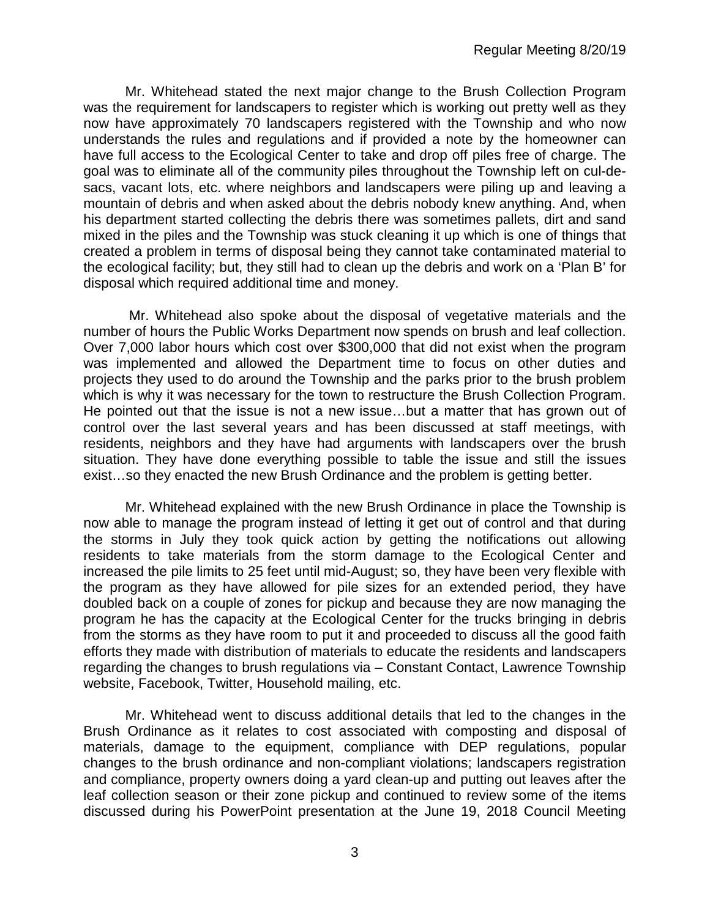Mr. Whitehead stated the next major change to the Brush Collection Program was the requirement for landscapers to register which is working out pretty well as they now have approximately 70 landscapers registered with the Township and who now understands the rules and regulations and if provided a note by the homeowner can have full access to the Ecological Center to take and drop off piles free of charge. The goal was to eliminate all of the community piles throughout the Township left on cul-desacs, vacant lots, etc. where neighbors and landscapers were piling up and leaving a mountain of debris and when asked about the debris nobody knew anything. And, when his department started collecting the debris there was sometimes pallets, dirt and sand mixed in the piles and the Township was stuck cleaning it up which is one of things that created a problem in terms of disposal being they cannot take contaminated material to the ecological facility; but, they still had to clean up the debris and work on a 'Plan B' for disposal which required additional time and money.

Mr. Whitehead also spoke about the disposal of vegetative materials and the number of hours the Public Works Department now spends on brush and leaf collection. Over 7,000 labor hours which cost over \$300,000 that did not exist when the program was implemented and allowed the Department time to focus on other duties and projects they used to do around the Township and the parks prior to the brush problem which is why it was necessary for the town to restructure the Brush Collection Program. He pointed out that the issue is not a new issue…but a matter that has grown out of control over the last several years and has been discussed at staff meetings, with residents, neighbors and they have had arguments with landscapers over the brush situation. They have done everything possible to table the issue and still the issues exist…so they enacted the new Brush Ordinance and the problem is getting better.

Mr. Whitehead explained with the new Brush Ordinance in place the Township is now able to manage the program instead of letting it get out of control and that during the storms in July they took quick action by getting the notifications out allowing residents to take materials from the storm damage to the Ecological Center and increased the pile limits to 25 feet until mid-August; so, they have been very flexible with the program as they have allowed for pile sizes for an extended period, they have doubled back on a couple of zones for pickup and because they are now managing the program he has the capacity at the Ecological Center for the trucks bringing in debris from the storms as they have room to put it and proceeded to discuss all the good faith efforts they made with distribution of materials to educate the residents and landscapers regarding the changes to brush regulations via – Constant Contact, Lawrence Township website, Facebook, Twitter, Household mailing, etc.

Mr. Whitehead went to discuss additional details that led to the changes in the Brush Ordinance as it relates to cost associated with composting and disposal of materials, damage to the equipment, compliance with DEP regulations, popular changes to the brush ordinance and non-compliant violations; landscapers registration and compliance, property owners doing a yard clean-up and putting out leaves after the leaf collection season or their zone pickup and continued to review some of the items discussed during his PowerPoint presentation at the June 19, 2018 Council Meeting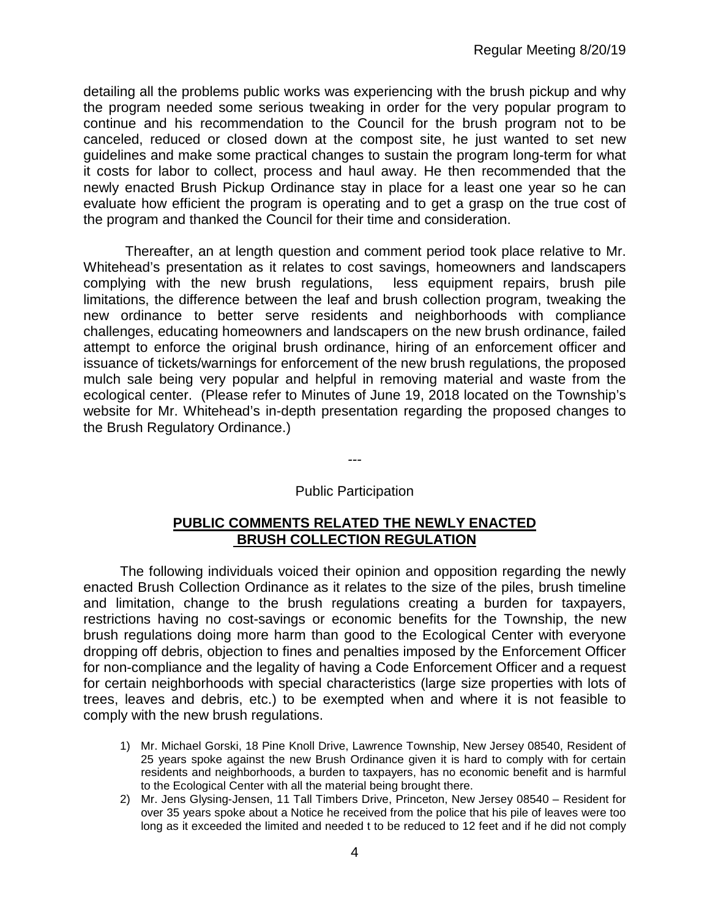detailing all the problems public works was experiencing with the brush pickup and why the program needed some serious tweaking in order for the very popular program to continue and his recommendation to the Council for the brush program not to be canceled, reduced or closed down at the compost site, he just wanted to set new guidelines and make some practical changes to sustain the program long-term for what it costs for labor to collect, process and haul away. He then recommended that the newly enacted Brush Pickup Ordinance stay in place for a least one year so he can evaluate how efficient the program is operating and to get a grasp on the true cost of the program and thanked the Council for their time and consideration.

Thereafter, an at length question and comment period took place relative to Mr. Whitehead's presentation as it relates to cost savings, homeowners and landscapers complying with the new brush regulations, less equipment repairs, brush pile limitations, the difference between the leaf and brush collection program, tweaking the new ordinance to better serve residents and neighborhoods with compliance challenges, educating homeowners and landscapers on the new brush ordinance, failed attempt to enforce the original brush ordinance, hiring of an enforcement officer and issuance of tickets/warnings for enforcement of the new brush regulations, the proposed mulch sale being very popular and helpful in removing material and waste from the ecological center. (Please refer to Minutes of June 19, 2018 located on the Township's website for Mr. Whitehead's in-depth presentation regarding the proposed changes to the Brush Regulatory Ordinance.)

*---*

#### Public Participation

# **PUBLIC COMMENTS RELATED THE NEWLY ENACTED BRUSH COLLECTION REGULATION**

The following individuals voiced their opinion and opposition regarding the newly enacted Brush Collection Ordinance as it relates to the size of the piles, brush timeline and limitation, change to the brush regulations creating a burden for taxpayers, restrictions having no cost-savings or economic benefits for the Township, the new brush regulations doing more harm than good to the Ecological Center with everyone dropping off debris, objection to fines and penalties imposed by the Enforcement Officer for non-compliance and the legality of having a Code Enforcement Officer and a request for certain neighborhoods with special characteristics (large size properties with lots of trees, leaves and debris, etc.) to be exempted when and where it is not feasible to comply with the new brush regulations.

- 1) Mr. Michael Gorski, 18 Pine Knoll Drive, Lawrence Township, New Jersey 08540, Resident of 25 years spoke against the new Brush Ordinance given it is hard to comply with for certain residents and neighborhoods, a burden to taxpayers, has no economic benefit and is harmful to the Ecological Center with all the material being brought there.
- 2) Mr. Jens Glysing-Jensen, 11 Tall Timbers Drive, Princeton, New Jersey 08540 Resident for over 35 years spoke about a Notice he received from the police that his pile of leaves were too long as it exceeded the limited and needed t to be reduced to 12 feet and if he did not comply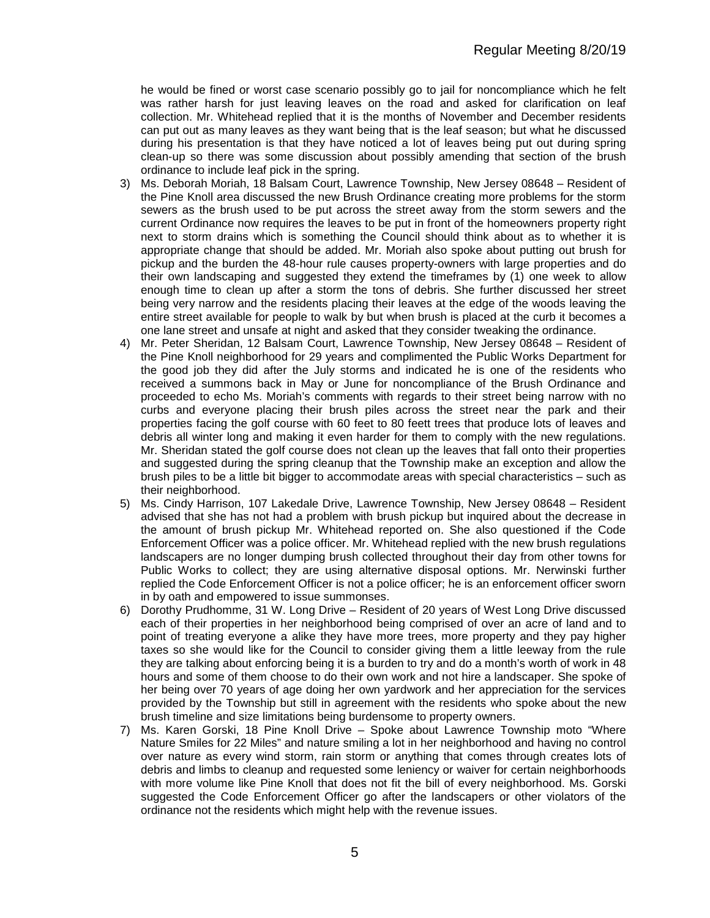he would be fined or worst case scenario possibly go to jail for noncompliance which he felt was rather harsh for just leaving leaves on the road and asked for clarification on leaf collection. Mr. Whitehead replied that it is the months of November and December residents can put out as many leaves as they want being that is the leaf season; but what he discussed during his presentation is that they have noticed a lot of leaves being put out during spring clean-up so there was some discussion about possibly amending that section of the brush ordinance to include leaf pick in the spring.

- 3) Ms. Deborah Moriah, 18 Balsam Court, Lawrence Township, New Jersey 08648 Resident of the Pine Knoll area discussed the new Brush Ordinance creating more problems for the storm sewers as the brush used to be put across the street away from the storm sewers and the current Ordinance now requires the leaves to be put in front of the homeowners property right next to storm drains which is something the Council should think about as to whether it is appropriate change that should be added. Mr. Moriah also spoke about putting out brush for pickup and the burden the 48-hour rule causes property-owners with large properties and do their own landscaping and suggested they extend the timeframes by (1) one week to allow enough time to clean up after a storm the tons of debris. She further discussed her street being very narrow and the residents placing their leaves at the edge of the woods leaving the entire street available for people to walk by but when brush is placed at the curb it becomes a one lane street and unsafe at night and asked that they consider tweaking the ordinance.
- 4) Mr. Peter Sheridan, 12 Balsam Court, Lawrence Township, New Jersey 08648 Resident of the Pine Knoll neighborhood for 29 years and complimented the Public Works Department for the good job they did after the July storms and indicated he is one of the residents who received a summons back in May or June for noncompliance of the Brush Ordinance and proceeded to echo Ms. Moriah's comments with regards to their street being narrow with no curbs and everyone placing their brush piles across the street near the park and their properties facing the golf course with 60 feet to 80 feett trees that produce lots of leaves and debris all winter long and making it even harder for them to comply with the new regulations. Mr. Sheridan stated the golf course does not clean up the leaves that fall onto their properties and suggested during the spring cleanup that the Township make an exception and allow the brush piles to be a little bit bigger to accommodate areas with special characteristics – such as their neighborhood.
- 5) Ms. Cindy Harrison, 107 Lakedale Drive, Lawrence Township, New Jersey 08648 Resident advised that she has not had a problem with brush pickup but inquired about the decrease in the amount of brush pickup Mr. Whitehead reported on. She also questioned if the Code Enforcement Officer was a police officer. Mr. Whitehead replied with the new brush regulations landscapers are no longer dumping brush collected throughout their day from other towns for Public Works to collect; they are using alternative disposal options. Mr. Nerwinski further replied the Code Enforcement Officer is not a police officer; he is an enforcement officer sworn in by oath and empowered to issue summonses.
- 6) Dorothy Prudhomme, 31 W. Long Drive Resident of 20 years of West Long Drive discussed each of their properties in her neighborhood being comprised of over an acre of land and to point of treating everyone a alike they have more trees, more property and they pay higher taxes so she would like for the Council to consider giving them a little leeway from the rule they are talking about enforcing being it is a burden to try and do a month's worth of work in 48 hours and some of them choose to do their own work and not hire a landscaper. She spoke of her being over 70 years of age doing her own yardwork and her appreciation for the services provided by the Township but still in agreement with the residents who spoke about the new brush timeline and size limitations being burdensome to property owners.
- 7) Ms. Karen Gorski, 18 Pine Knoll Drive Spoke about Lawrence Township moto "Where Nature Smiles for 22 Miles" and nature smiling a lot in her neighborhood and having no control over nature as every wind storm, rain storm or anything that comes through creates lots of debris and limbs to cleanup and requested some leniency or waiver for certain neighborhoods with more volume like Pine Knoll that does not fit the bill of every neighborhood. Ms. Gorski suggested the Code Enforcement Officer go after the landscapers or other violators of the ordinance not the residents which might help with the revenue issues.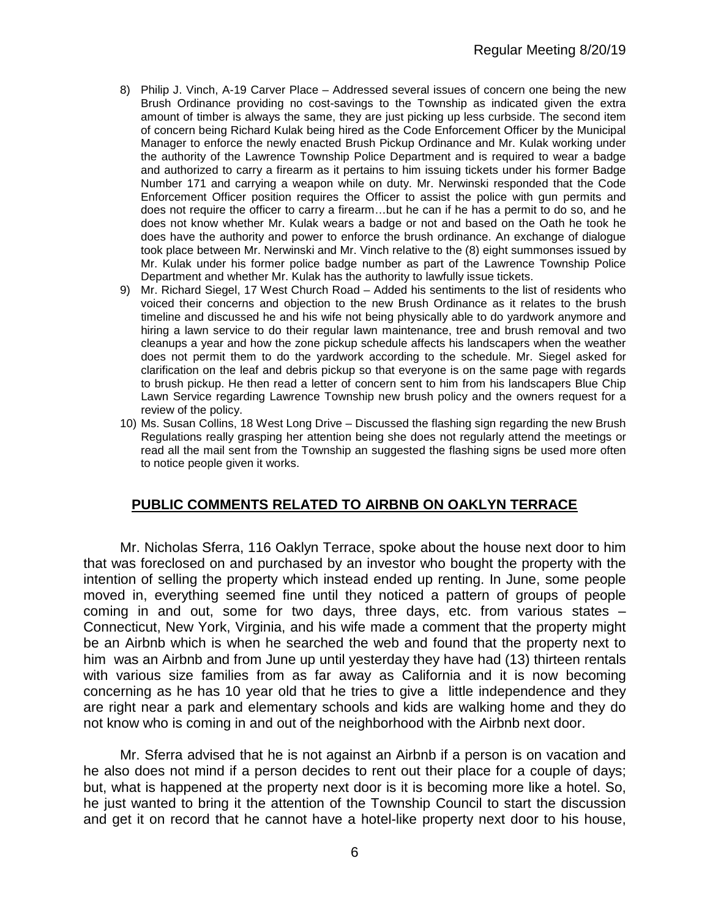- 8) Philip J. Vinch, A-19 Carver Place Addressed several issues of concern one being the new Brush Ordinance providing no cost-savings to the Township as indicated given the extra amount of timber is always the same, they are just picking up less curbside. The second item of concern being Richard Kulak being hired as the Code Enforcement Officer by the Municipal Manager to enforce the newly enacted Brush Pickup Ordinance and Mr. Kulak working under the authority of the Lawrence Township Police Department and is required to wear a badge and authorized to carry a firearm as it pertains to him issuing tickets under his former Badge Number 171 and carrying a weapon while on duty. Mr. Nerwinski responded that the Code Enforcement Officer position requires the Officer to assist the police with gun permits and does not require the officer to carry a firearm…but he can if he has a permit to do so, and he does not know whether Mr. Kulak wears a badge or not and based on the Oath he took he does have the authority and power to enforce the brush ordinance. An exchange of dialogue took place between Mr. Nerwinski and Mr. Vinch relative to the (8) eight summonses issued by Mr. Kulak under his former police badge number as part of the Lawrence Township Police Department and whether Mr. Kulak has the authority to lawfully issue tickets.
- 9) Mr. Richard Siegel, 17 West Church Road Added his sentiments to the list of residents who voiced their concerns and objection to the new Brush Ordinance as it relates to the brush timeline and discussed he and his wife not being physically able to do yardwork anymore and hiring a lawn service to do their regular lawn maintenance, tree and brush removal and two cleanups a year and how the zone pickup schedule affects his landscapers when the weather does not permit them to do the yardwork according to the schedule. Mr. Siegel asked for clarification on the leaf and debris pickup so that everyone is on the same page with regards to brush pickup. He then read a letter of concern sent to him from his landscapers Blue Chip Lawn Service regarding Lawrence Township new brush policy and the owners request for a review of the policy.
- 10) Ms. Susan Collins, 18 West Long Drive Discussed the flashing sign regarding the new Brush Regulations really grasping her attention being she does not regularly attend the meetings or read all the mail sent from the Township an suggested the flashing signs be used more often to notice people given it works.

# **PUBLIC COMMENTS RELATED TO AIRBNB ON OAKLYN TERRACE**

Mr. Nicholas Sferra, 116 Oaklyn Terrace, spoke about the house next door to him that was foreclosed on and purchased by an investor who bought the property with the intention of selling the property which instead ended up renting. In June, some people moved in, everything seemed fine until they noticed a pattern of groups of people coming in and out, some for two days, three days, etc. from various states – Connecticut, New York, Virginia, and his wife made a comment that the property might be an Airbnb which is when he searched the web and found that the property next to him was an Airbnb and from June up until yesterday they have had (13) thirteen rentals with various size families from as far away as California and it is now becoming concerning as he has 10 year old that he tries to give a little independence and they are right near a park and elementary schools and kids are walking home and they do not know who is coming in and out of the neighborhood with the Airbnb next door.

Mr. Sferra advised that he is not against an Airbnb if a person is on vacation and he also does not mind if a person decides to rent out their place for a couple of days; but, what is happened at the property next door is it is becoming more like a hotel. So, he just wanted to bring it the attention of the Township Council to start the discussion and get it on record that he cannot have a hotel-like property next door to his house,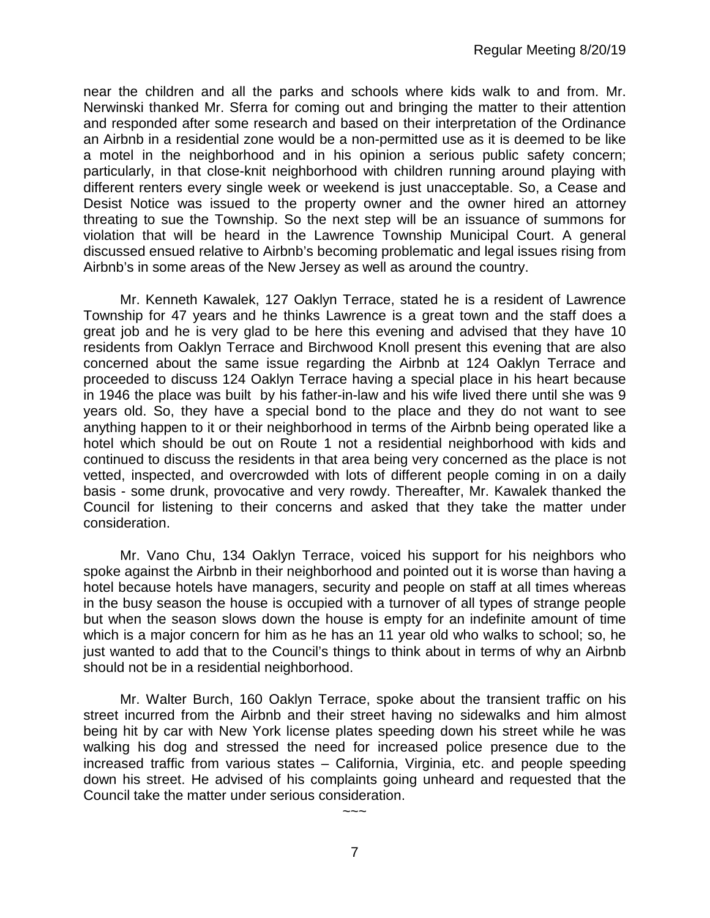near the children and all the parks and schools where kids walk to and from. Mr. Nerwinski thanked Mr. Sferra for coming out and bringing the matter to their attention and responded after some research and based on their interpretation of the Ordinance an Airbnb in a residential zone would be a non-permitted use as it is deemed to be like a motel in the neighborhood and in his opinion a serious public safety concern; particularly, in that close-knit neighborhood with children running around playing with different renters every single week or weekend is just unacceptable. So, a Cease and Desist Notice was issued to the property owner and the owner hired an attorney threating to sue the Township. So the next step will be an issuance of summons for violation that will be heard in the Lawrence Township Municipal Court. A general discussed ensued relative to Airbnb's becoming problematic and legal issues rising from Airbnb's in some areas of the New Jersey as well as around the country.

Mr. Kenneth Kawalek, 127 Oaklyn Terrace, stated he is a resident of Lawrence Township for 47 years and he thinks Lawrence is a great town and the staff does a great job and he is very glad to be here this evening and advised that they have 10 residents from Oaklyn Terrace and Birchwood Knoll present this evening that are also concerned about the same issue regarding the Airbnb at 124 Oaklyn Terrace and proceeded to discuss 124 Oaklyn Terrace having a special place in his heart because in 1946 the place was built by his father-in-law and his wife lived there until she was 9 years old. So, they have a special bond to the place and they do not want to see anything happen to it or their neighborhood in terms of the Airbnb being operated like a hotel which should be out on Route 1 not a residential neighborhood with kids and continued to discuss the residents in that area being very concerned as the place is not vetted, inspected, and overcrowded with lots of different people coming in on a daily basis - some drunk, provocative and very rowdy. Thereafter, Mr. Kawalek thanked the Council for listening to their concerns and asked that they take the matter under consideration.

Mr. Vano Chu, 134 Oaklyn Terrace, voiced his support for his neighbors who spoke against the Airbnb in their neighborhood and pointed out it is worse than having a hotel because hotels have managers, security and people on staff at all times whereas in the busy season the house is occupied with a turnover of all types of strange people but when the season slows down the house is empty for an indefinite amount of time which is a major concern for him as he has an 11 year old who walks to school; so, he just wanted to add that to the Council's things to think about in terms of why an Airbnb should not be in a residential neighborhood.

Mr. Walter Burch, 160 Oaklyn Terrace, spoke about the transient traffic on his street incurred from the Airbnb and their street having no sidewalks and him almost being hit by car with New York license plates speeding down his street while he was walking his dog and stressed the need for increased police presence due to the increased traffic from various states – California, Virginia, etc. and people speeding down his street. He advised of his complaints going unheard and requested that the Council take the matter under serious consideration.

 $\sim$   $\sim$   $\sim$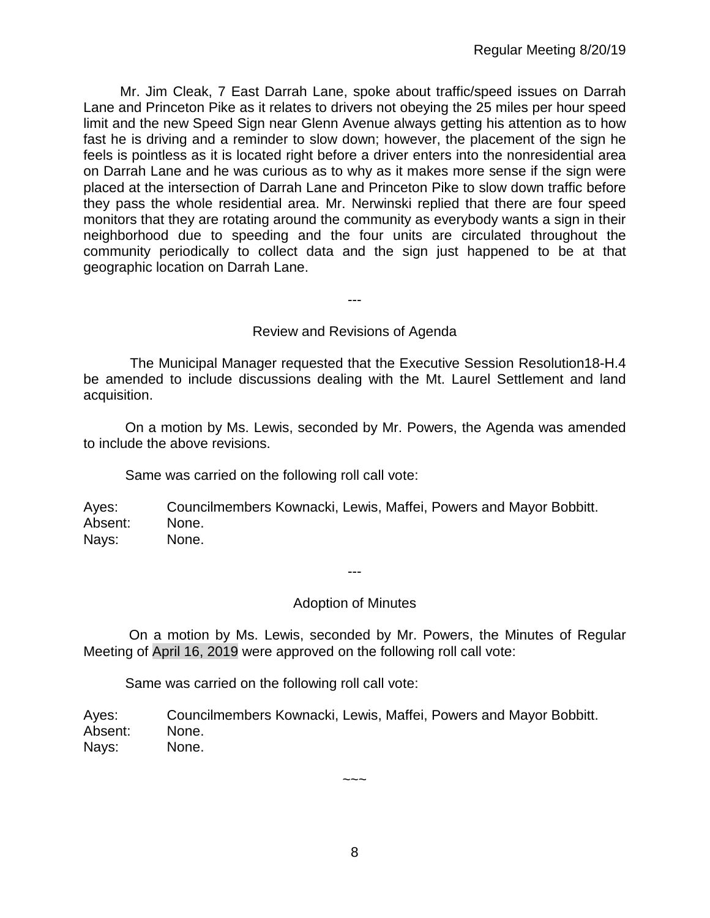Mr. Jim Cleak, 7 East Darrah Lane, spoke about traffic/speed issues on Darrah Lane and Princeton Pike as it relates to drivers not obeying the 25 miles per hour speed limit and the new Speed Sign near Glenn Avenue always getting his attention as to how fast he is driving and a reminder to slow down; however, the placement of the sign he feels is pointless as it is located right before a driver enters into the nonresidential area on Darrah Lane and he was curious as to why as it makes more sense if the sign were placed at the intersection of Darrah Lane and Princeton Pike to slow down traffic before they pass the whole residential area. Mr. Nerwinski replied that there are four speed monitors that they are rotating around the community as everybody wants a sign in their neighborhood due to speeding and the four units are circulated throughout the community periodically to collect data and the sign just happened to be at that geographic location on Darrah Lane.

---

## Review and Revisions of Agenda

 The Municipal Manager requested that the Executive Session Resolution18-H.4 be amended to include discussions dealing with the Mt. Laurel Settlement and land acquisition.

On a motion by Ms. Lewis, seconded by Mr. Powers, the Agenda was amended to include the above revisions.

Same was carried on the following roll call vote:

Ayes: Councilmembers Kownacki, Lewis, Maffei, Powers and Mayor Bobbitt. Absent: None. Nays: None.

---

# Adoption of Minutes

On a motion by Ms. Lewis, seconded by Mr. Powers, the Minutes of Regular Meeting of April 16, 2019 were approved on the following roll call vote:

Same was carried on the following roll call vote:

Ayes: Councilmembers Kownacki, Lewis, Maffei, Powers and Mayor Bobbitt. Absent: None. Nays: None.

8

 $\sim\sim\sim$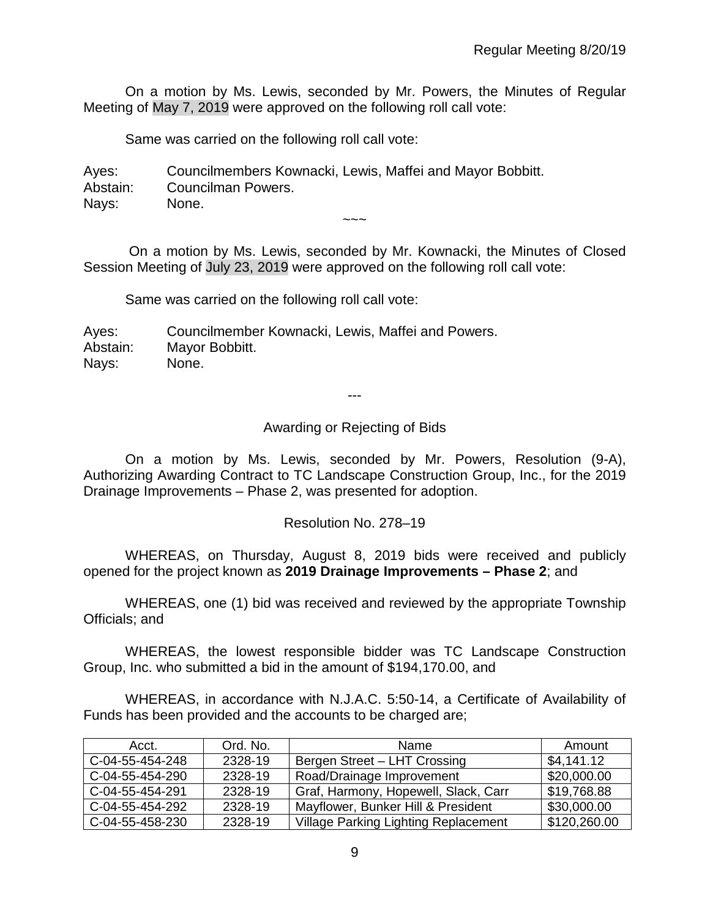On a motion by Ms. Lewis, seconded by Mr. Powers, the Minutes of Regular Meeting of May 7, 2019 were approved on the following roll call vote:

Same was carried on the following roll call vote:

Ayes: Councilmembers Kownacki, Lewis, Maffei and Mayor Bobbitt. Abstain: Councilman Powers. Nays: None.  $\sim\sim\sim$ 

On a motion by Ms. Lewis, seconded by Mr. Kownacki, the Minutes of Closed Session Meeting of July 23, 2019 were approved on the following roll call vote:

Same was carried on the following roll call vote:

Ayes: Councilmember Kownacki, Lewis, Maffei and Powers. Abstain: Mayor Bobbitt. Nays: None.

---

Awarding or Rejecting of Bids

On a motion by Ms. Lewis, seconded by Mr. Powers, Resolution (9-A), Authorizing Awarding Contract to TC Landscape Construction Group, Inc., for the 2019 Drainage Improvements – Phase 2, was presented for adoption.

Resolution No. 278–19

WHEREAS, on Thursday, August 8, 2019 bids were received and publicly opened for the project known as **2019 Drainage Improvements – Phase 2**; and

WHEREAS, one (1) bid was received and reviewed by the appropriate Township Officials; and

WHEREAS, the lowest responsible bidder was TC Landscape Construction Group, Inc. who submitted a bid in the amount of \$194,170.00, and

WHEREAS, in accordance with N.J.A.C. 5:50-14, a Certificate of Availability of Funds has been provided and the accounts to be charged are;

| Acct.           | Ord. No. | Name                                        | Amount       |
|-----------------|----------|---------------------------------------------|--------------|
| C-04-55-454-248 | 2328-19  | Bergen Street - LHT Crossing                | \$4,141.12   |
| C-04-55-454-290 | 2328-19  | Road/Drainage Improvement                   | \$20,000.00  |
| C-04-55-454-291 | 2328-19  | Graf, Harmony, Hopewell, Slack, Carr        | \$19,768.88  |
| C-04-55-454-292 | 2328-19  | Mayflower, Bunker Hill & President          | \$30,000.00  |
| C-04-55-458-230 | 2328-19  | <b>Village Parking Lighting Replacement</b> | \$120,260.00 |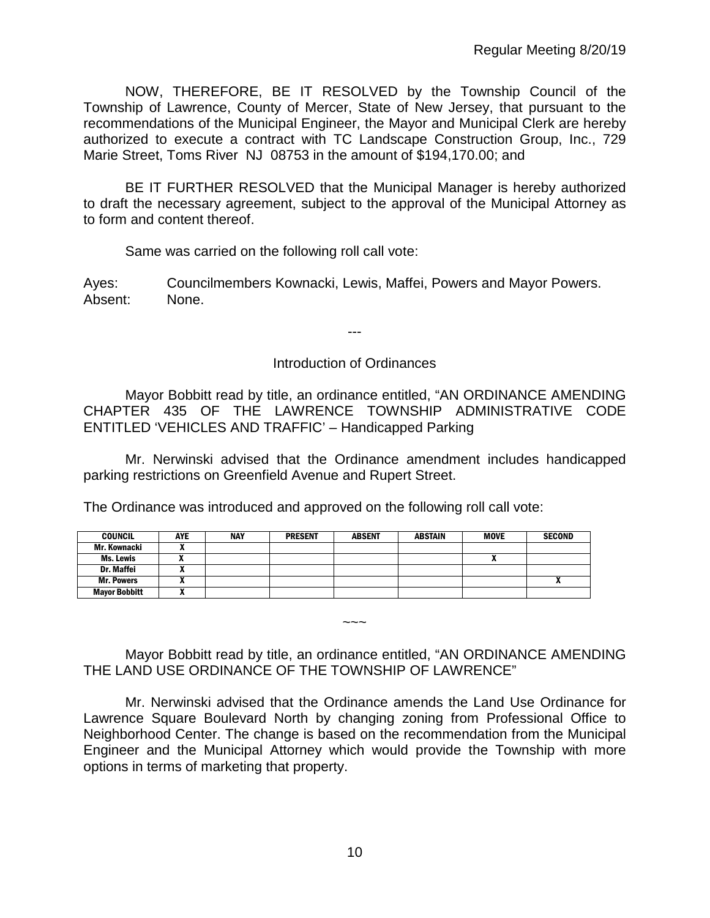NOW, THEREFORE, BE IT RESOLVED by the Township Council of the Township of Lawrence, County of Mercer, State of New Jersey, that pursuant to the recommendations of the Municipal Engineer, the Mayor and Municipal Clerk are hereby authorized to execute a contract with TC Landscape Construction Group, Inc., 729 Marie Street, Toms River NJ 08753 in the amount of \$194,170.00; and

BE IT FURTHER RESOLVED that the Municipal Manager is hereby authorized to draft the necessary agreement, subject to the approval of the Municipal Attorney as to form and content thereof.

Same was carried on the following roll call vote:

Ayes: Councilmembers Kownacki, Lewis, Maffei, Powers and Mayor Powers. Absent: None.

---

## Introduction of Ordinances

Mayor Bobbitt read by title, an ordinance entitled, "AN ORDINANCE AMENDING CHAPTER 435 OF THE LAWRENCE TOWNSHIP ADMINISTRATIVE CODE ENTITLED 'VEHICLES AND TRAFFIC' – Handicapped Parking

Mr. Nerwinski advised that the Ordinance amendment includes handicapped parking restrictions on Greenfield Avenue and Rupert Street.

The Ordinance was introduced and approved on the following roll call vote:

| <b>COUNCIL</b>       | AYE | <b>NAY</b> | <b>PRESENT</b> | <b>ABSENT</b> | ABSTAIN | <b>MOVE</b> | <b>SECOND</b> |
|----------------------|-----|------------|----------------|---------------|---------|-------------|---------------|
| Mr. Kownacki         |     |            |                |               |         |             |               |
| Ms. Lewis            |     |            |                |               |         |             |               |
| <b>Dr. Maffei</b>    |     |            |                |               |         |             |               |
| <b>Mr. Powers</b>    | ,,, |            |                |               |         |             |               |
| <b>Mayor Bobbitt</b> |     |            |                |               |         |             |               |

Mayor Bobbitt read by title, an ordinance entitled, "AN ORDINANCE AMENDING THE LAND USE ORDINANCE OF THE TOWNSHIP OF LAWRENCE"

~~~

Mr. Nerwinski advised that the Ordinance amends the Land Use Ordinance for Lawrence Square Boulevard North by changing zoning from Professional Office to Neighborhood Center. The change is based on the recommendation from the Municipal Engineer and the Municipal Attorney which would provide the Township with more options in terms of marketing that property.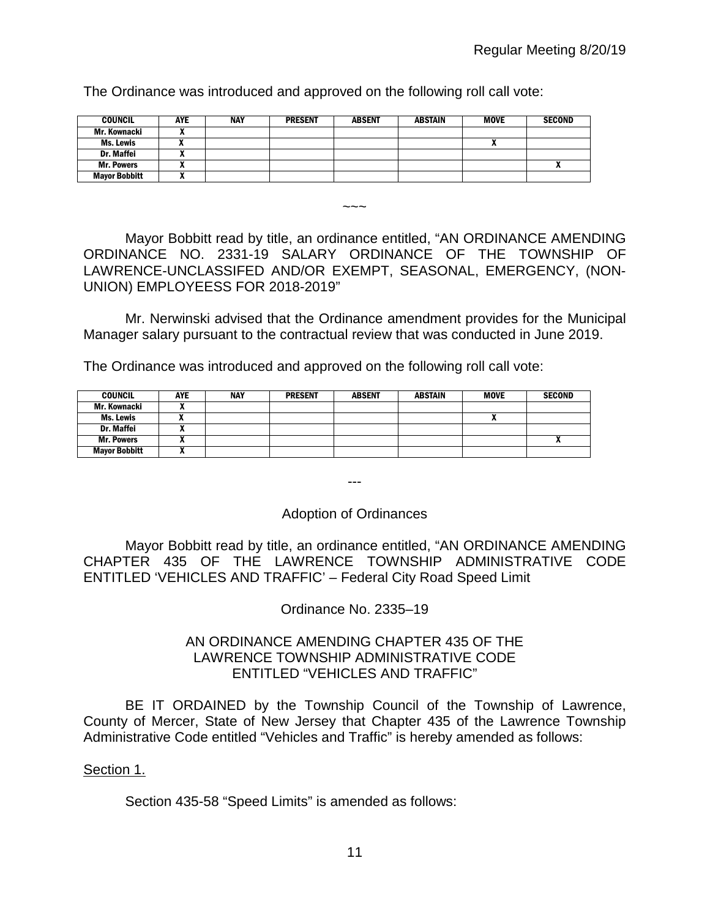The Ordinance was introduced and approved on the following roll call vote:

| <b>COUNCIL</b>       | AYE | <b>NAY</b> | <b>PRESENT</b> | <b>ABSENT</b> | <b>ABSTAIN</b> | <b>MOVE</b> | <b>SECOND</b> |
|----------------------|-----|------------|----------------|---------------|----------------|-------------|---------------|
| Mr. Kownacki         |     |            |                |               |                |             |               |
| Ms. Lewis            |     |            |                |               |                |             |               |
| Dr. Maffei           |     |            |                |               |                |             |               |
| <b>Mr. Powers</b>    |     |            |                |               |                |             |               |
| <b>Mayor Bobbitt</b> | "   |            |                |               |                |             |               |

Mayor Bobbitt read by title, an ordinance entitled, "AN ORDINANCE AMENDING ORDINANCE NO. 2331-19 SALARY ORDINANCE OF THE TOWNSHIP OF LAWRENCE-UNCLASSIFED AND/OR EXEMPT, SEASONAL, EMERGENCY, (NON-UNION) EMPLOYEESS FOR 2018-2019"

 $\sim\sim\sim$ 

Mr. Nerwinski advised that the Ordinance amendment provides for the Municipal Manager salary pursuant to the contractual review that was conducted in June 2019.

The Ordinance was introduced and approved on the following roll call vote:

| <b>COUNCIL</b>       | <b>AYE</b> | NAY | <b>PRESENT</b> | <b>ABSENT</b> | <b>ABSTAIN</b> | <b>MOVE</b> | <b>SECOND</b>              |
|----------------------|------------|-----|----------------|---------------|----------------|-------------|----------------------------|
| Mr. Kownacki         |            |     |                |               |                |             |                            |
| Ms. Lewis            |            |     |                |               |                | ^           |                            |
| Dr. Maffei           |            |     |                |               |                |             |                            |
| <b>Mr. Powers</b>    |            |     |                |               |                |             | $\boldsymbol{\mathcal{L}}$ |
| <b>Mayor Bobbitt</b> | ~          |     |                |               |                |             |                            |

---

# Adoption of Ordinances

Mayor Bobbitt read by title, an ordinance entitled, "AN ORDINANCE AMENDING CHAPTER 435 OF THE LAWRENCE TOWNSHIP ADMINISTRATIVE CODE ENTITLED 'VEHICLES AND TRAFFIC' – Federal City Road Speed Limit

Ordinance No. 2335–19

## AN ORDINANCE AMENDING CHAPTER 435 OF THE LAWRENCE TOWNSHIP ADMINISTRATIVE CODE ENTITLED "VEHICLES AND TRAFFIC"

BE IT ORDAINED by the Township Council of the Township of Lawrence, County of Mercer, State of New Jersey that Chapter 435 of the Lawrence Township Administrative Code entitled "Vehicles and Traffic" is hereby amended as follows:

# Section 1.

Section 435-58 "Speed Limits" is amended as follows: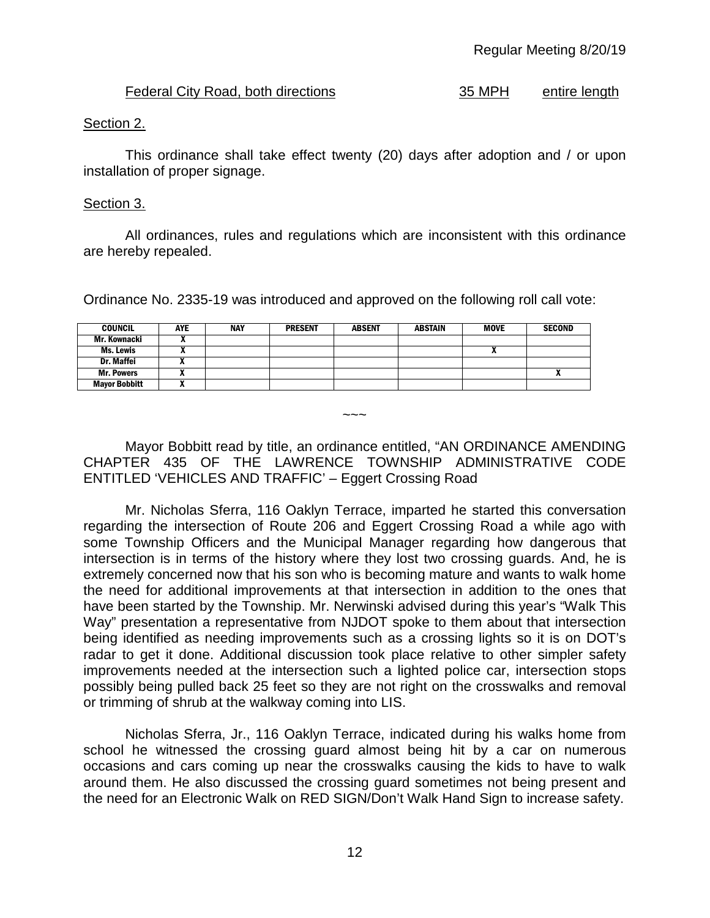# Federal City Road, both directions 35 MPH entire length

# Section 2.

This ordinance shall take effect twenty (20) days after adoption and / or upon installation of proper signage.

## Section 3.

All ordinances, rules and regulations which are inconsistent with this ordinance are hereby repealed.

Ordinance No. 2335-19 was introduced and approved on the following roll call vote:

| <b>COUNCIL</b>       | <b>AYE</b> | <b>NAY</b> | <b>PRESENT</b> | <b>ABSENT</b> | <b>ABSTAIN</b> | <b>MOVE</b> | <b>SECOND</b> |
|----------------------|------------|------------|----------------|---------------|----------------|-------------|---------------|
| Mr. Kownacki         |            |            |                |               |                |             |               |
| Ms. Lewis            |            |            |                |               |                |             |               |
| Dr. Maffei           |            |            |                |               |                |             |               |
| <b>Mr. Powers</b>    |            |            |                |               |                |             | n             |
| <b>Mayor Bobbitt</b> |            |            |                |               |                |             |               |

Mayor Bobbitt read by title, an ordinance entitled, "AN ORDINANCE AMENDING CHAPTER 435 OF THE LAWRENCE TOWNSHIP ADMINISTRATIVE CODE ENTITLED 'VEHICLES AND TRAFFIC' – Eggert Crossing Road

 $\sim\sim\sim$ 

Mr. Nicholas Sferra, 116 Oaklyn Terrace, imparted he started this conversation regarding the intersection of Route 206 and Eggert Crossing Road a while ago with some Township Officers and the Municipal Manager regarding how dangerous that intersection is in terms of the history where they lost two crossing guards. And, he is extremely concerned now that his son who is becoming mature and wants to walk home the need for additional improvements at that intersection in addition to the ones that have been started by the Township. Mr. Nerwinski advised during this year's "Walk This Way" presentation a representative from NJDOT spoke to them about that intersection being identified as needing improvements such as a crossing lights so it is on DOT's radar to get it done. Additional discussion took place relative to other simpler safety improvements needed at the intersection such a lighted police car, intersection stops possibly being pulled back 25 feet so they are not right on the crosswalks and removal or trimming of shrub at the walkway coming into LIS.

Nicholas Sferra, Jr., 116 Oaklyn Terrace, indicated during his walks home from school he witnessed the crossing guard almost being hit by a car on numerous occasions and cars coming up near the crosswalks causing the kids to have to walk around them. He also discussed the crossing guard sometimes not being present and the need for an Electronic Walk on RED SIGN/Don't Walk Hand Sign to increase safety.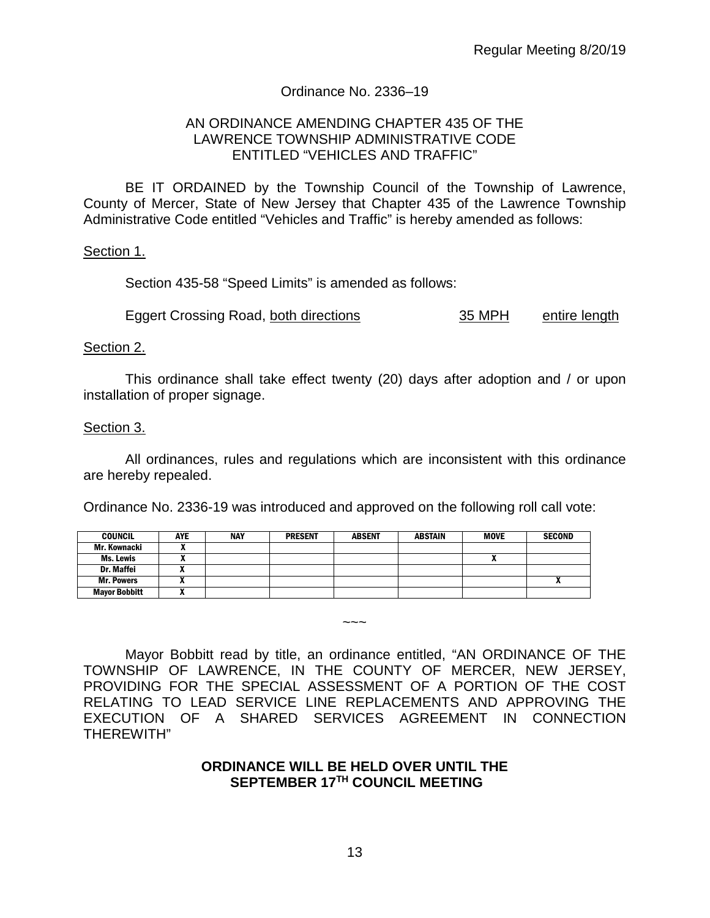## Ordinance No. 2336–19

#### AN ORDINANCE AMENDING CHAPTER 435 OF THE LAWRENCE TOWNSHIP ADMINISTRATIVE CODE ENTITLED "VEHICLES AND TRAFFIC"

BE IT ORDAINED by the Township Council of the Township of Lawrence, County of Mercer, State of New Jersey that Chapter 435 of the Lawrence Township Administrative Code entitled "Vehicles and Traffic" is hereby amended as follows:

#### Section 1.

Section 435-58 "Speed Limits" is amended as follows:

Eggert Crossing Road, both directions 35 MPH entire length

#### Section 2.

This ordinance shall take effect twenty (20) days after adoption and / or upon installation of proper signage.

#### Section 3.

All ordinances, rules and regulations which are inconsistent with this ordinance are hereby repealed.

Ordinance No. 2336-19 was introduced and approved on the following roll call vote:

| <b>COUNCIL</b>       | <b>AYE</b> | NAY | <b>PRESENT</b> | <b>ABSENT</b> | <b>ABSTAIN</b> | MOVE | <b>SECOND</b> |
|----------------------|------------|-----|----------------|---------------|----------------|------|---------------|
| Mr. Kownacki         |            |     |                |               |                |      |               |
| Ms. Lewis            |            |     |                |               |                |      |               |
| <b>Dr. Maffei</b>    |            |     |                |               |                |      |               |
| <b>Mr. Powers</b>    | ,,         |     |                |               |                |      |               |
| <b>Mayor Bobbitt</b> |            |     |                |               |                |      |               |

Mayor Bobbitt read by title, an ordinance entitled, "AN ORDINANCE OF THE TOWNSHIP OF LAWRENCE, IN THE COUNTY OF MERCER, NEW JERSEY, PROVIDING FOR THE SPECIAL ASSESSMENT OF A PORTION OF THE COST RELATING TO LEAD SERVICE LINE REPLACEMENTS AND APPROVING THE EXECUTION OF A SHARED SERVICES AGREEMENT IN CONNECTION THEREWITH"

~~~

#### **ORDINANCE WILL BE HELD OVER UNTIL THE SEPTEMBER 17TH COUNCIL MEETING**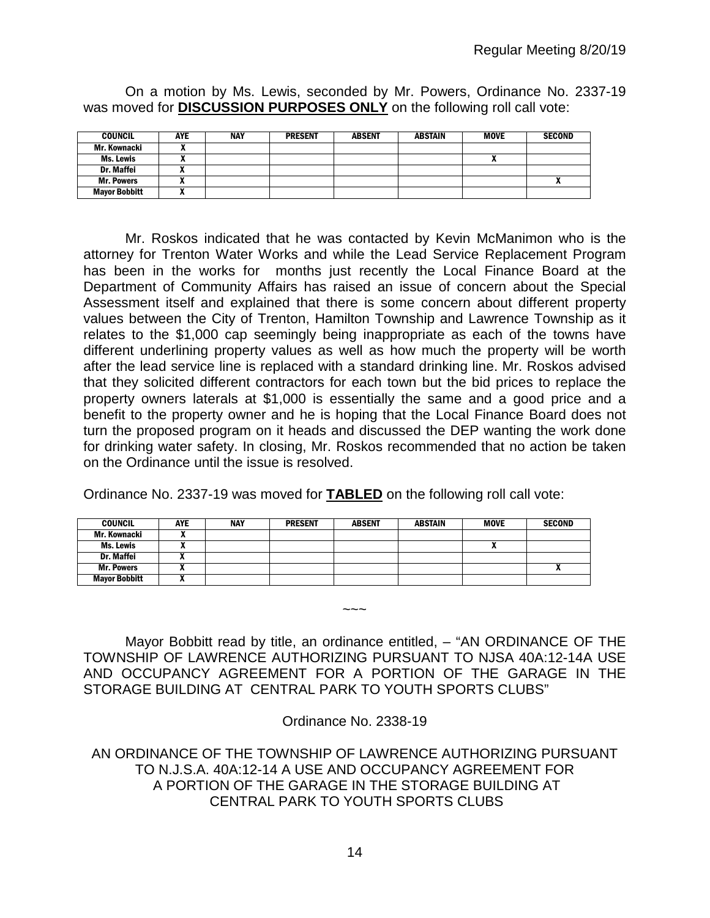| <b>COUNCIL</b>       | <b>AYE</b> | <b>NAY</b> | <b>PRESENT</b> | <b>ABSENT</b> | <b>ABSTAIN</b> | <b>MOVE</b> | <b>SECOND</b> |
|----------------------|------------|------------|----------------|---------------|----------------|-------------|---------------|
| Mr. Kownacki         |            |            |                |               |                |             |               |
| Ms. Lewis            |            |            |                |               |                |             |               |
| <b>Dr. Maffei</b>    |            |            |                |               |                |             |               |
| <b>Mr. Powers</b>    |            |            |                |               |                |             |               |
| <b>Mayor Bobbitt</b> |            |            |                |               |                |             |               |

On a motion by Ms. Lewis, seconded by Mr. Powers, Ordinance No. 2337-19 was moved for **DISCUSSION PURPOSES ONLY** on the following roll call vote:

Mr. Roskos indicated that he was contacted by Kevin McManimon who is the attorney for Trenton Water Works and while the Lead Service Replacement Program has been in the works for months just recently the Local Finance Board at the Department of Community Affairs has raised an issue of concern about the Special Assessment itself and explained that there is some concern about different property values between the City of Trenton, Hamilton Township and Lawrence Township as it relates to the \$1,000 cap seemingly being inappropriate as each of the towns have different underlining property values as well as how much the property will be worth after the lead service line is replaced with a standard drinking line. Mr. Roskos advised that they solicited different contractors for each town but the bid prices to replace the property owners laterals at \$1,000 is essentially the same and a good price and a benefit to the property owner and he is hoping that the Local Finance Board does not turn the proposed program on it heads and discussed the DEP wanting the work done for drinking water safety. In closing, Mr. Roskos recommended that no action be taken on the Ordinance until the issue is resolved.

Ordinance No. 2337-19 was moved for **TABLED** on the following roll call vote:

| <b>COUNCIL</b>       | <b>AYE</b> | NAY | <b>PRESENT</b> | <b>ABSENT</b> | <b>ABSTAIN</b> | <b>MOVE</b> | <b>SECOND</b> |
|----------------------|------------|-----|----------------|---------------|----------------|-------------|---------------|
| Mr. Kownacki         |            |     |                |               |                |             |               |
| Ms. Lewis            |            |     |                |               |                | ,,          |               |
| <b>Dr. Maffei</b>    | ,,         |     |                |               |                |             |               |
| <b>Mr. Powers</b>    |            |     |                |               |                |             | ^             |
| <b>Mayor Bobbitt</b> | ~          |     |                |               |                |             |               |

Mayor Bobbitt read by title, an ordinance entitled, - "AN ORDINANCE OF THE TOWNSHIP OF LAWRENCE AUTHORIZING PURSUANT TO NJSA 40A:12-14A USE AND OCCUPANCY AGREEMENT FOR A PORTION OF THE GARAGE IN THE STORAGE BUILDING AT CENTRAL PARK TO YOUTH SPORTS CLUBS"

 $\sim\sim\sim$ 

Ordinance No. 2338-19

AN ORDINANCE OF THE TOWNSHIP OF LAWRENCE AUTHORIZING PURSUANT TO N.J.S.A. 40A:12-14 A USE AND OCCUPANCY AGREEMENT FOR A PORTION OF THE GARAGE IN THE STORAGE BUILDING AT CENTRAL PARK TO YOUTH SPORTS CLUBS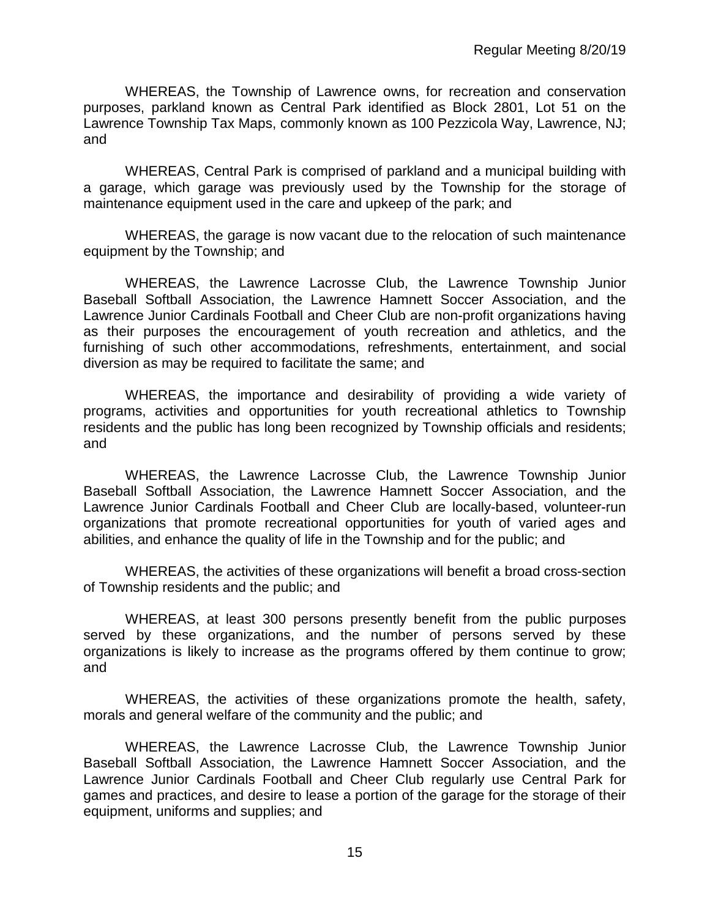WHEREAS, the Township of Lawrence owns, for recreation and conservation purposes, parkland known as Central Park identified as Block 2801, Lot 51 on the Lawrence Township Tax Maps, commonly known as 100 Pezzicola Way, Lawrence, NJ; and

WHEREAS, Central Park is comprised of parkland and a municipal building with a garage, which garage was previously used by the Township for the storage of maintenance equipment used in the care and upkeep of the park; and

WHEREAS, the garage is now vacant due to the relocation of such maintenance equipment by the Township; and

WHEREAS, the Lawrence Lacrosse Club, the Lawrence Township Junior Baseball Softball Association, the Lawrence Hamnett Soccer Association, and the Lawrence Junior Cardinals Football and Cheer Club are non-profit organizations having as their purposes the encouragement of youth recreation and athletics, and the furnishing of such other accommodations, refreshments, entertainment, and social diversion as may be required to facilitate the same; and

WHEREAS, the importance and desirability of providing a wide variety of programs, activities and opportunities for youth recreational athletics to Township residents and the public has long been recognized by Township officials and residents; and

WHEREAS, the Lawrence Lacrosse Club, the Lawrence Township Junior Baseball Softball Association, the Lawrence Hamnett Soccer Association, and the Lawrence Junior Cardinals Football and Cheer Club are locally-based, volunteer-run organizations that promote recreational opportunities for youth of varied ages and abilities, and enhance the quality of life in the Township and for the public; and

WHEREAS, the activities of these organizations will benefit a broad cross-section of Township residents and the public; and

WHEREAS, at least 300 persons presently benefit from the public purposes served by these organizations, and the number of persons served by these organizations is likely to increase as the programs offered by them continue to grow; and

WHEREAS, the activities of these organizations promote the health, safety, morals and general welfare of the community and the public; and

WHEREAS, the Lawrence Lacrosse Club, the Lawrence Township Junior Baseball Softball Association, the Lawrence Hamnett Soccer Association, and the Lawrence Junior Cardinals Football and Cheer Club regularly use Central Park for games and practices, and desire to lease a portion of the garage for the storage of their equipment, uniforms and supplies; and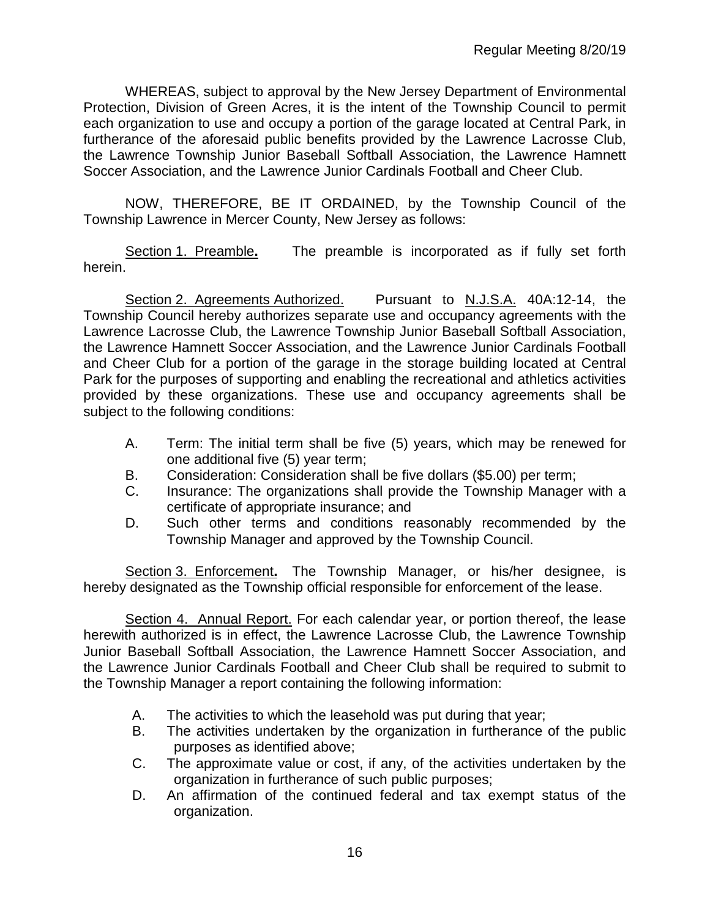WHEREAS, subject to approval by the New Jersey Department of Environmental Protection, Division of Green Acres, it is the intent of the Township Council to permit each organization to use and occupy a portion of the garage located at Central Park, in furtherance of the aforesaid public benefits provided by the Lawrence Lacrosse Club, the Lawrence Township Junior Baseball Softball Association, the Lawrence Hamnett Soccer Association, and the Lawrence Junior Cardinals Football and Cheer Club.

NOW, THEREFORE, BE IT ORDAINED, by the Township Council of the Township Lawrence in Mercer County, New Jersey as follows:

Section 1. Preamble**.** The preamble is incorporated as if fully set forth herein.

Section 2. Agreements Authorized. Pursuant to N.J.S.A. 40A:12-14, the Township Council hereby authorizes separate use and occupancy agreements with the Lawrence Lacrosse Club, the Lawrence Township Junior Baseball Softball Association, the Lawrence Hamnett Soccer Association, and the Lawrence Junior Cardinals Football and Cheer Club for a portion of the garage in the storage building located at Central Park for the purposes of supporting and enabling the recreational and athletics activities provided by these organizations. These use and occupancy agreements shall be subject to the following conditions:

- A. Term: The initial term shall be five (5) years, which may be renewed for one additional five (5) year term;
- B. Consideration: Consideration shall be five dollars (\$5.00) per term;
- C. Insurance: The organizations shall provide the Township Manager with a certificate of appropriate insurance; and
- D. Such other terms and conditions reasonably recommended by the Township Manager and approved by the Township Council.

Section 3. Enforcement**.** The Township Manager, or his/her designee, is hereby designated as the Township official responsible for enforcement of the lease.

Section 4. Annual Report. For each calendar year, or portion thereof, the lease herewith authorized is in effect, the Lawrence Lacrosse Club, the Lawrence Township Junior Baseball Softball Association, the Lawrence Hamnett Soccer Association, and the Lawrence Junior Cardinals Football and Cheer Club shall be required to submit to the Township Manager a report containing the following information:

- A. The activities to which the leasehold was put during that year;
- B. The activities undertaken by the organization in furtherance of the public purposes as identified above;
- C. The approximate value or cost, if any, of the activities undertaken by the organization in furtherance of such public purposes;
- D. An affirmation of the continued federal and tax exempt status of the organization.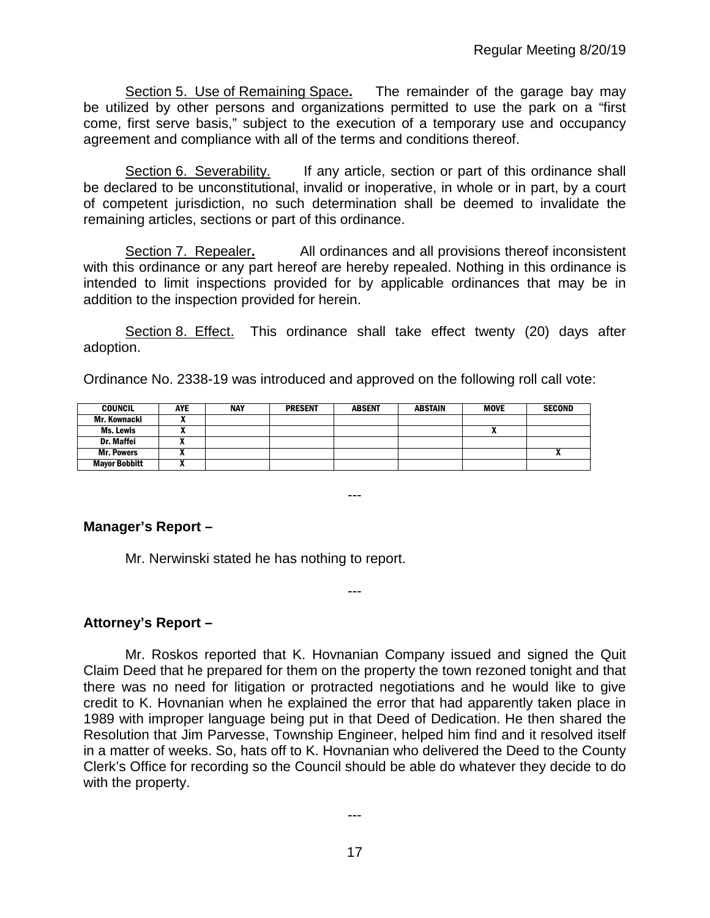Section 5. Use of Remaining Space**.** The remainder of the garage bay may be utilized by other persons and organizations permitted to use the park on a "first come, first serve basis," subject to the execution of a temporary use and occupancy agreement and compliance with all of the terms and conditions thereof.

Section 6. Severability. If any article, section or part of this ordinance shall be declared to be unconstitutional, invalid or inoperative, in whole or in part, by a court of competent jurisdiction, no such determination shall be deemed to invalidate the remaining articles, sections or part of this ordinance.

Section 7. Repealer**.** All ordinances and all provisions thereof inconsistent with this ordinance or any part hereof are hereby repealed. Nothing in this ordinance is intended to limit inspections provided for by applicable ordinances that may be in addition to the inspection provided for herein.

Section 8. Effect. This ordinance shall take effect twenty (20) days after adoption.

Ordinance No. 2338-19 was introduced and approved on the following roll call vote:

| <b>COUNCIL</b>       | <b>AYE</b> | NAY | <b>PRESENT</b> | <b>ABSENT</b> | <b>ABSTAIN</b> | MOVE | <b>SECOND</b> |
|----------------------|------------|-----|----------------|---------------|----------------|------|---------------|
| Mr. Kownacki         |            |     |                |               |                |      |               |
| Ms. Lewis            |            |     |                |               |                |      |               |
| Dr. Maffei           |            |     |                |               |                |      |               |
| <b>Mr. Powers</b>    |            |     |                |               |                |      |               |
| <b>Mayor Bobbitt</b> |            |     |                |               |                |      |               |

---

---

# **Manager's Report –**

Mr. Nerwinski stated he has nothing to report.

# **Attorney's Report –**

Mr. Roskos reported that K. Hovnanian Company issued and signed the Quit Claim Deed that he prepared for them on the property the town rezoned tonight and that there was no need for litigation or protracted negotiations and he would like to give credit to K. Hovnanian when he explained the error that had apparently taken place in 1989 with improper language being put in that Deed of Dedication. He then shared the Resolution that Jim Parvesse, Township Engineer, helped him find and it resolved itself in a matter of weeks. So, hats off to K. Hovnanian who delivered the Deed to the County Clerk's Office for recording so the Council should be able do whatever they decide to do with the property.

---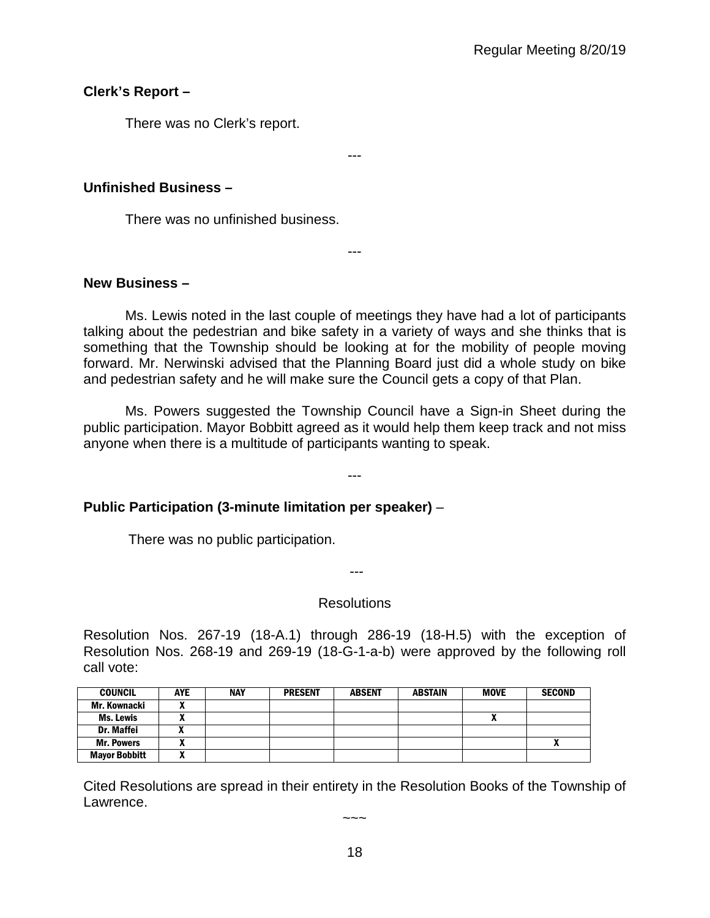# **Clerk's Report –**

There was no Clerk's report.

---

# **Unfinished Business –**

There was no unfinished business.

# **New Business –**

Ms. Lewis noted in the last couple of meetings they have had a lot of participants talking about the pedestrian and bike safety in a variety of ways and she thinks that is something that the Township should be looking at for the mobility of people moving forward. Mr. Nerwinski advised that the Planning Board just did a whole study on bike and pedestrian safety and he will make sure the Council gets a copy of that Plan.

---

Ms. Powers suggested the Township Council have a Sign-in Sheet during the public participation. Mayor Bobbitt agreed as it would help them keep track and not miss anyone when there is a multitude of participants wanting to speak.

---

# **Public Participation (3-minute limitation per speaker)** –

There was no public participation.

---

# Resolutions

Resolution Nos. 267-19 (18-A.1) through 286-19 (18-H.5) with the exception of Resolution Nos. 268-19 and 269-19 (18-G-1-a-b) were approved by the following roll call vote:

| <b>COUNCIL</b>       | AYE | NAY | <b>PRESENT</b> | <b>ABSENT</b> | <b>ABSTAIN</b> | <b>MOVE</b> | <b>SECOND</b> |
|----------------------|-----|-----|----------------|---------------|----------------|-------------|---------------|
| Mr. Kownacki         |     |     |                |               |                |             |               |
| <b>Ms. Lewis</b>     |     |     |                |               |                | "           |               |
| Dr. Maffei           |     |     |                |               |                |             |               |
| <b>Mr. Powers</b>    |     |     |                |               |                |             |               |
| <b>Mayor Bobbitt</b> | ~   |     |                |               |                |             |               |

Cited Resolutions are spread in their entirety in the Resolution Books of the Township of Lawrence.

 $\sim\sim\sim$